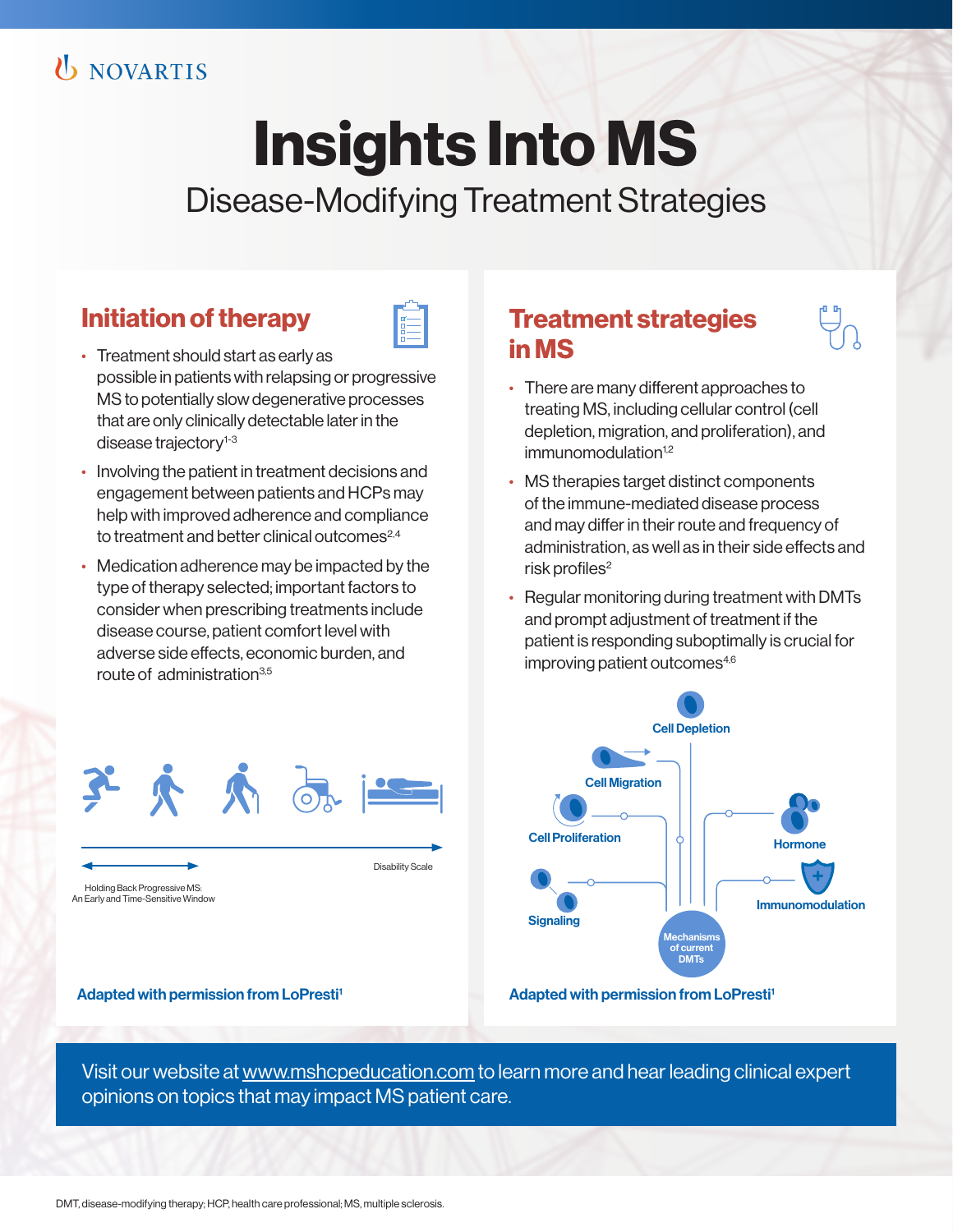# **U** NOVARTIS

# **Insights Into MS**

Disease-Modifying Treatment Strategies

## **Initiation of therapy**

- Treatment should start as early as possible in patients with relapsing or progressive MS to potentially slow degenerative processes that are only clinically detectable later in the disease trajectory<sup>1-3</sup>
- Involving the patient in treatment decisions and engagement between patients and HCPs may help with improved adherence and compliance to treatment and better clinical outcomes<sup>2,4</sup>
- Medication adherence may be impacted by the type of therapy selected; important factors to consider when prescribing treatments include disease course, patient comfort level with adverse side effects, economic burden, and route of administration3,5

### **Treatment strategies in MS**



- There are many different approaches to treating MS, including cellular control (cell depletion, migration, and proliferation), and immunomodulation<sup>1,2</sup>
- MS therapies target distinct components of the immune-mediated disease process and may differ in their route and frequency of administration, as well as in their side effects and risk profiles<sup>2</sup>
- Regular monitoring during treatment with DMTs and prompt adjustment of treatment if the patient is responding suboptimally is crucial for improving patient outcomes<sup>4,6</sup>



子大太后

Holding Back Progressive MS: An Early and Time-Sensitive Window

Adapted with permission from LoPresti<sup>1</sup> Adapted with permission from LoPresti<sup>1</sup>

Visit our website at www.mshcpeducation.com to learn more and hear leading clinical expert opinions on topics that may impact MS patient care.

Disability Scale